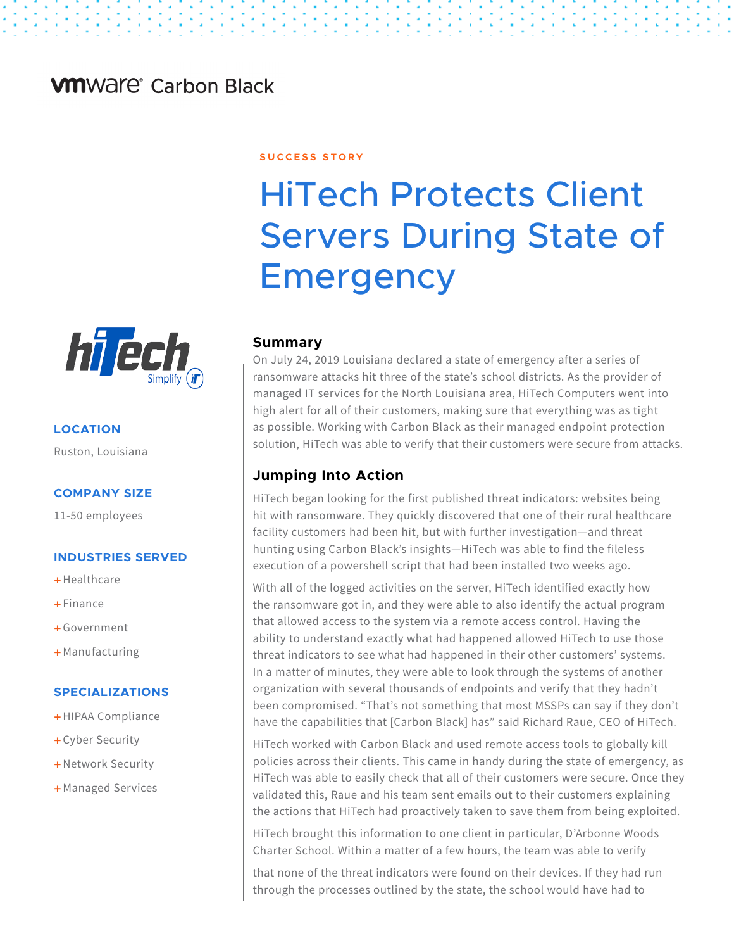# **VM**Ware<sup>®</sup> Carbon Black

# **S U C C E S S S T O R Y**

# HiTech Protects Client Servers During State of **Emergency**

## **Summary**

On July 24, 2019 Louisiana declared a state of emergency after a series of ransomware attacks hit three of the state's school districts. As the provider of managed IT services for the North Louisiana area, HiTech Computers went into high alert for all of their customers, making sure that everything was as tight as possible. Working with Carbon Black as their managed endpoint protection solution, HiTech was able to verify that their customers were secure from attacks.

## **Jumping Into Action**

HiTech began looking for the first published threat indicators: websites being hit with ransomware. They quickly discovered that one of their rural healthcare facility customers had been hit, but with further investigation—and threat hunting using Carbon Black's insights—HiTech was able to find the fileless execution of a powershell script that had been installed two weeks ago.

With all of the logged activities on the server, HiTech identified exactly how the ransomware got in, and they were able to also identify the actual program that allowed access to the system via a remote access control. Having the ability to understand exactly what had happened allowed HiTech to use those threat indicators to see what had happened in their other customers' systems. In a matter of minutes, they were able to look through the systems of another organization with several thousands of endpoints and verify that they hadn't been compromised. "That's not something that most MSSPs can say if they don't have the capabilities that [Carbon Black] has" said Richard Raue, CEO of HiTech.

HiTech worked with Carbon Black and used remote access tools to globally kill policies across their clients. This came in handy during the state of emergency, as HiTech was able to easily check that all of their customers were secure. Once they validated this, Raue and his team sent emails out to their customers explaining the actions that HiTech had proactively taken to save them from being exploited.

HiTech brought this information to one client in particular, D'Arbonne Woods Charter School. Within a matter of a few hours, the team was able to verify

that none of the threat indicators were found on their devices. If they had run through the processes outlined by the state, the school would have had to



## **LOCATION**

Ruston, Louisiana

#### **COMPANY SIZE**

11-50 employees

#### **INDUSTRIES SERVED**

- $+$ Healthcare
- $F$ inance
- + Government
- + Manufacturing

#### **SPECIALIZATIONS**

- + HIPAA Compliance
- + Cyber Security
- + Network Security
- + Managed Services